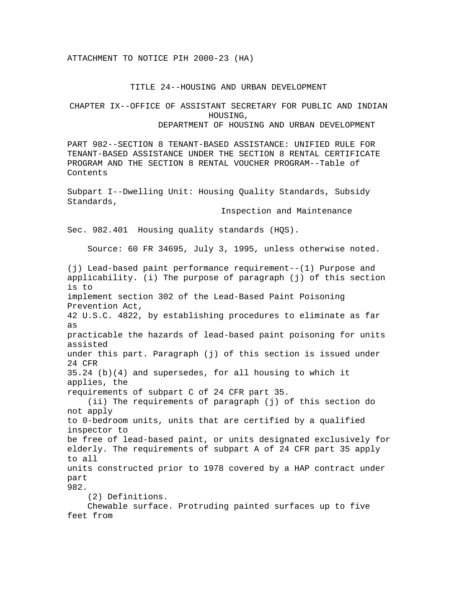## TITLE 24--HOUSING AND URBAN DEVELOPMENT

## CHAPTER IX--OFFICE OF ASSISTANT SECRETARY FOR PUBLIC AND INDIAN HOUSING, DEPARTMENT OF HOUSING AND URBAN DEVELOPMENT

PART 982--SECTION 8 TENANT-BASED ASSISTANCE: UNIFIED RULE FOR TENANT-BASED ASSISTANCE UNDER THE SECTION 8 RENTAL CERTIFICATE PROGRAM AND THE SECTION 8 RENTAL VOUCHER PROGRAM--Table of Contents

Subpart I--Dwelling Unit: Housing Quality Standards, Subsidy Standards,

Inspection and Maintenance

Sec. 982.401 Housing quality standards (HQS).

Source: 60 FR 34695, July 3, 1995, unless otherwise noted.

(j) Lead-based paint performance requirement--(1) Purpose and applicability. (i) The purpose of paragraph (j) of this section is to implement section 302 of the Lead-Based Paint Poisoning Prevention Act, 42 U.S.C. 4822, by establishing procedures to eliminate as far as practicable the hazards of lead-based paint poisoning for units assisted under this part. Paragraph (j) of this section is issued under 24 CFR 35.24 (b)(4) and supersedes, for all housing to which it applies, the requirements of subpart C of 24 CFR part 35. (ii) The requirements of paragraph (j) of this section do not apply to 0-bedroom units, units that are certified by a qualified inspector to be free of lead-based paint, or units designated exclusively for elderly. The requirements of subpart A of 24 CFR part 35 apply to all units constructed prior to 1978 covered by a HAP contract under part 982. (2) Definitions. Chewable surface. Protruding painted surfaces up to five feet from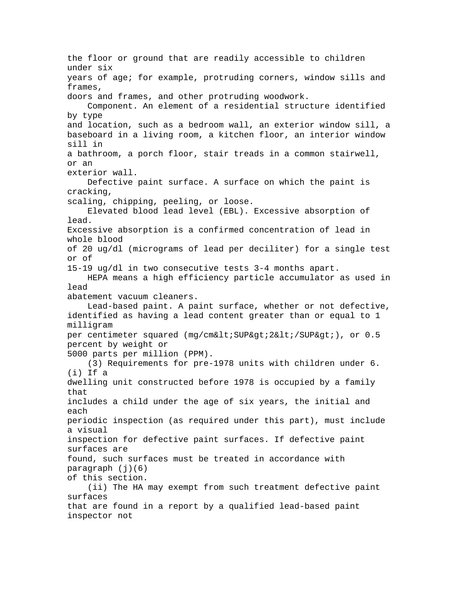the floor or ground that are readily accessible to children under six years of age; for example, protruding corners, window sills and frames, doors and frames, and other protruding woodwork. Component. An element of a residential structure identified by type and location, such as a bedroom wall, an exterior window sill, a baseboard in a living room, a kitchen floor, an interior window sill in a bathroom, a porch floor, stair treads in a common stairwell, or an exterior wall. Defective paint surface. A surface on which the paint is cracking, scaling, chipping, peeling, or loose. Elevated blood lead level (EBL). Excessive absorption of lead. Excessive absorption is a confirmed concentration of lead in whole blood of 20 ug/dl (micrograms of lead per deciliter) for a single test or of 15-19 ug/dl in two consecutive tests 3-4 months apart. HEPA means a high efficiency particle accumulator as used in lead abatement vacuum cleaners. Lead-based paint. A paint surface, whether or not defective, identified as having a lead content greater than or equal to 1 milligram per centimeter squared (mg/cm<SUP&qt;2&lt;/SUP&qt;), or 0.5 percent by weight or 5000 parts per million (PPM). (3) Requirements for pre-1978 units with children under 6. (i) If a dwelling unit constructed before 1978 is occupied by a family that includes a child under the age of six years, the initial and each periodic inspection (as required under this part), must include a visual inspection for defective paint surfaces. If defective paint surfaces are found, such surfaces must be treated in accordance with paragraph (j)(6) of this section. (ii) The HA may exempt from such treatment defective paint surfaces that are found in a report by a qualified lead-based paint inspector not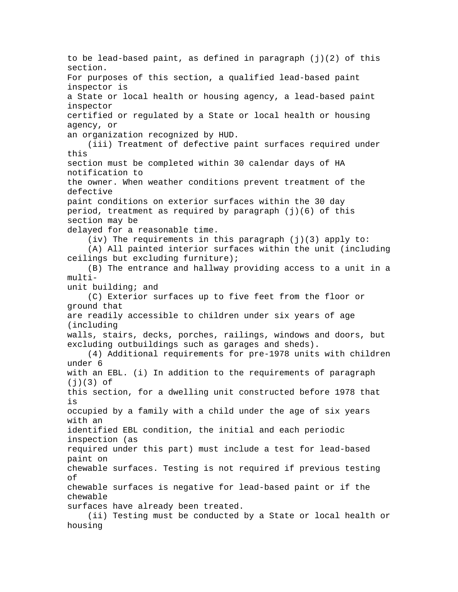to be lead-based paint, as defined in paragraph  $(j)(2)$  of this section. For purposes of this section, a qualified lead-based paint inspector is a State or local health or housing agency, a lead-based paint inspector certified or regulated by a State or local health or housing agency, or an organization recognized by HUD. (iii) Treatment of defective paint surfaces required under this section must be completed within 30 calendar days of HA notification to the owner. When weather conditions prevent treatment of the defective paint conditions on exterior surfaces within the 30 day period, treatment as required by paragraph (j)(6) of this section may be delayed for a reasonable time. (iv) The requirements in this paragraph (j)(3) apply to: (A) All painted interior surfaces within the unit (including ceilings but excluding furniture); (B) The entrance and hallway providing access to a unit in a multiunit building; and (C) Exterior surfaces up to five feet from the floor or ground that are readily accessible to children under six years of age (including walls, stairs, decks, porches, railings, windows and doors, but excluding outbuildings such as garages and sheds). (4) Additional requirements for pre-1978 units with children under 6 with an EBL. (i) In addition to the requirements of paragraph  $(j)(3)$  of this section, for a dwelling unit constructed before 1978 that is occupied by a family with a child under the age of six years with an identified EBL condition, the initial and each periodic inspection (as required under this part) must include a test for lead-based paint on chewable surfaces. Testing is not required if previous testing of chewable surfaces is negative for lead-based paint or if the chewable surfaces have already been treated. (ii) Testing must be conducted by a State or local health or housing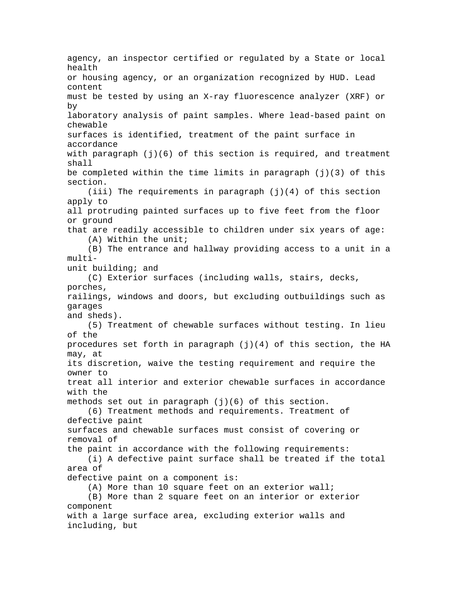agency, an inspector certified or regulated by a State or local health or housing agency, or an organization recognized by HUD. Lead content must be tested by using an X-ray fluorescence analyzer (XRF) or by laboratory analysis of paint samples. Where lead-based paint on chewable surfaces is identified, treatment of the paint surface in accordance with paragraph (j)(6) of this section is required, and treatment shall be completed within the time limits in paragraph  $(j)(3)$  of this section. (iii) The requirements in paragraph  $(j)(4)$  of this section apply to all protruding painted surfaces up to five feet from the floor or ground that are readily accessible to children under six years of age: (A) Within the unit; (B) The entrance and hallway providing access to a unit in a multiunit building; and (C) Exterior surfaces (including walls, stairs, decks, porches, railings, windows and doors, but excluding outbuildings such as garages and sheds). (5) Treatment of chewable surfaces without testing. In lieu of the procedures set forth in paragraph (j)(4) of this section, the HA may, at its discretion, waive the testing requirement and require the owner to treat all interior and exterior chewable surfaces in accordance with the methods set out in paragraph  $(j)(6)$  of this section. (6) Treatment methods and requirements. Treatment of defective paint surfaces and chewable surfaces must consist of covering or removal of the paint in accordance with the following requirements: (i) A defective paint surface shall be treated if the total area of defective paint on a component is: (A) More than 10 square feet on an exterior wall; (B) More than 2 square feet on an interior or exterior component with a large surface area, excluding exterior walls and including, but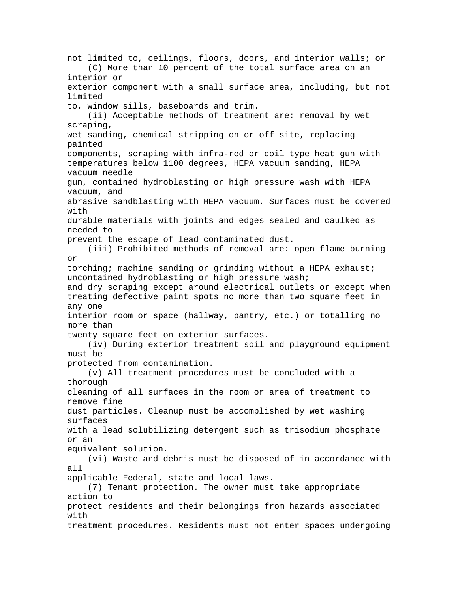not limited to, ceilings, floors, doors, and interior walls; or (C) More than 10 percent of the total surface area on an interior or exterior component with a small surface area, including, but not limited to, window sills, baseboards and trim. (ii) Acceptable methods of treatment are: removal by wet scraping, wet sanding, chemical stripping on or off site, replacing painted components, scraping with infra-red or coil type heat gun with temperatures below 1100 degrees, HEPA vacuum sanding, HEPA vacuum needle gun, contained hydroblasting or high pressure wash with HEPA vacuum, and abrasive sandblasting with HEPA vacuum. Surfaces must be covered with durable materials with joints and edges sealed and caulked as needed to prevent the escape of lead contaminated dust. (iii) Prohibited methods of removal are: open flame burning or torching; machine sanding or grinding without a HEPA exhaust; uncontained hydroblasting or high pressure wash; and dry scraping except around electrical outlets or except when treating defective paint spots no more than two square feet in any one interior room or space (hallway, pantry, etc.) or totalling no more than twenty square feet on exterior surfaces. (iv) During exterior treatment soil and playground equipment must be protected from contamination. (v) All treatment procedures must be concluded with a thorough cleaning of all surfaces in the room or area of treatment to remove fine dust particles. Cleanup must be accomplished by wet washing surfaces with a lead solubilizing detergent such as trisodium phosphate or an equivalent solution. (vi) Waste and debris must be disposed of in accordance with all applicable Federal, state and local laws. (7) Tenant protection. The owner must take appropriate action to protect residents and their belongings from hazards associated with treatment procedures. Residents must not enter spaces undergoing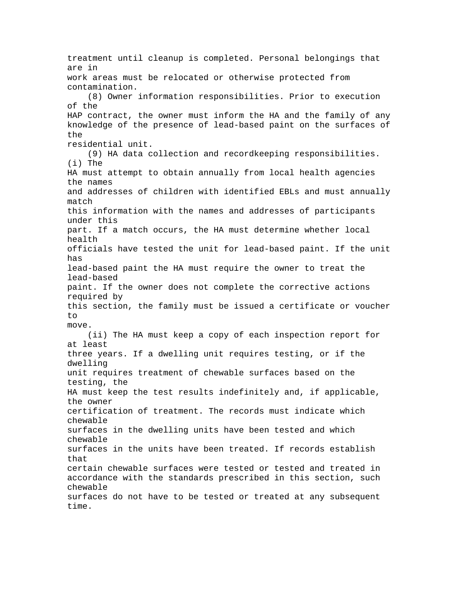treatment until cleanup is completed. Personal belongings that are in work areas must be relocated or otherwise protected from contamination. (8) Owner information responsibilities. Prior to execution of the HAP contract, the owner must inform the HA and the family of any knowledge of the presence of lead-based paint on the surfaces of the residential unit. (9) HA data collection and recordkeeping responsibilities. (i) The HA must attempt to obtain annually from local health agencies the names and addresses of children with identified EBLs and must annually match this information with the names and addresses of participants under this part. If a match occurs, the HA must determine whether local health officials have tested the unit for lead-based paint. If the unit has lead-based paint the HA must require the owner to treat the lead-based paint. If the owner does not complete the corrective actions required by this section, the family must be issued a certificate or voucher to move. (ii) The HA must keep a copy of each inspection report for at least three years. If a dwelling unit requires testing, or if the dwelling unit requires treatment of chewable surfaces based on the testing, the HA must keep the test results indefinitely and, if applicable, the owner certification of treatment. The records must indicate which chewable surfaces in the dwelling units have been tested and which chewable surfaces in the units have been treated. If records establish that certain chewable surfaces were tested or tested and treated in accordance with the standards prescribed in this section, such chewable surfaces do not have to be tested or treated at any subsequent time.